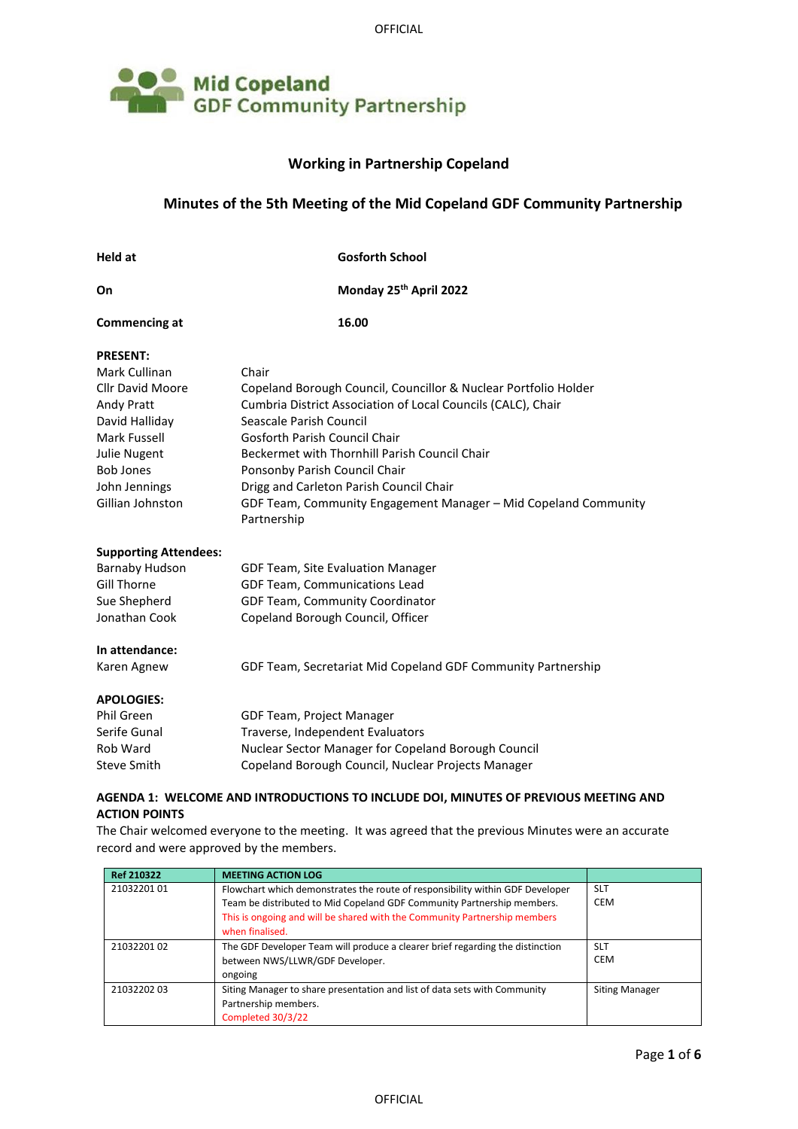OFFICIAL



## **Working in Partnership Copeland**

# **Minutes of the 5th Meeting of the Mid Copeland GDF Community Partnership**

| Held at                                  | <b>Gosforth School</b>                                                                               |  |  |
|------------------------------------------|------------------------------------------------------------------------------------------------------|--|--|
| On                                       | Monday 25th April 2022                                                                               |  |  |
| <b>Commencing at</b>                     | 16.00                                                                                                |  |  |
| <b>PRESENT:</b>                          |                                                                                                      |  |  |
| Mark Cullinan                            | Chair                                                                                                |  |  |
| <b>Cllr David Moore</b>                  | Copeland Borough Council, Councillor & Nuclear Portfolio Holder                                      |  |  |
| Andy Pratt                               | Cumbria District Association of Local Councils (CALC), Chair                                         |  |  |
| David Halliday                           | Seascale Parish Council                                                                              |  |  |
| <b>Mark Fussell</b>                      | Gosforth Parish Council Chair                                                                        |  |  |
| <b>Julie Nugent</b>                      | Beckermet with Thornhill Parish Council Chair                                                        |  |  |
| <b>Bob Jones</b>                         | Ponsonby Parish Council Chair                                                                        |  |  |
| John Jennings                            | Drigg and Carleton Parish Council Chair                                                              |  |  |
| Gillian Johnston                         | GDF Team, Community Engagement Manager - Mid Copeland Community<br>Partnership                       |  |  |
| <b>Supporting Attendees:</b>             |                                                                                                      |  |  |
| <b>Barnaby Hudson</b>                    | GDF Team, Site Evaluation Manager                                                                    |  |  |
| <b>Gill Thorne</b>                       | GDF Team, Communications Lead                                                                        |  |  |
| Sue Shepherd                             | GDF Team, Community Coordinator                                                                      |  |  |
| Jonathan Cook                            | Copeland Borough Council, Officer                                                                    |  |  |
| In attendance:                           |                                                                                                      |  |  |
| Karen Agnew                              | GDF Team, Secretariat Mid Copeland GDF Community Partnership                                         |  |  |
| <b>APOLOGIES:</b>                        |                                                                                                      |  |  |
| Phil Green                               | GDF Team, Project Manager                                                                            |  |  |
| Serife Gunal                             | Traverse, Independent Evaluators                                                                     |  |  |
| Rob Ward                                 | Nuclear Sector Manager for Copeland Borough Council                                                  |  |  |
| Steve Smith                              | Copeland Borough Council, Nuclear Projects Manager                                                   |  |  |
|                                          | AGENDA 1: WELCOME AND INTRODUCTIONS TO INCLUDE DOI, MINUTES OF PREVIOUS MEETING AND                  |  |  |
| <b>ACTION POINTS</b>                     |                                                                                                      |  |  |
|                                          | The Chair welcomed everyone to the meeting. It was agreed that the previous Minutes were an accurate |  |  |
| record and were approved by the members. |                                                                                                      |  |  |

**Ref 210322 MEETING ACTION LOG**<br>21032201 01 **Flowchart which demon** Flowchart which demonstrates the route of responsibility within GDF Developer Team be distributed to Mid Copeland GDF Community Partnership members. This is ongoing and will be shared with the Community Partnership members when finalised. SLT CEM 21032201 02 The GDF Developer Team will produce a clearer brief regarding the distinction between NWS/LLWR/GDF Developer. ongoing SLT CEM 21032202 03 Siting Manager to share presentation and list of data sets with Community Partnership members. Completed 30/3/22 Siting Manager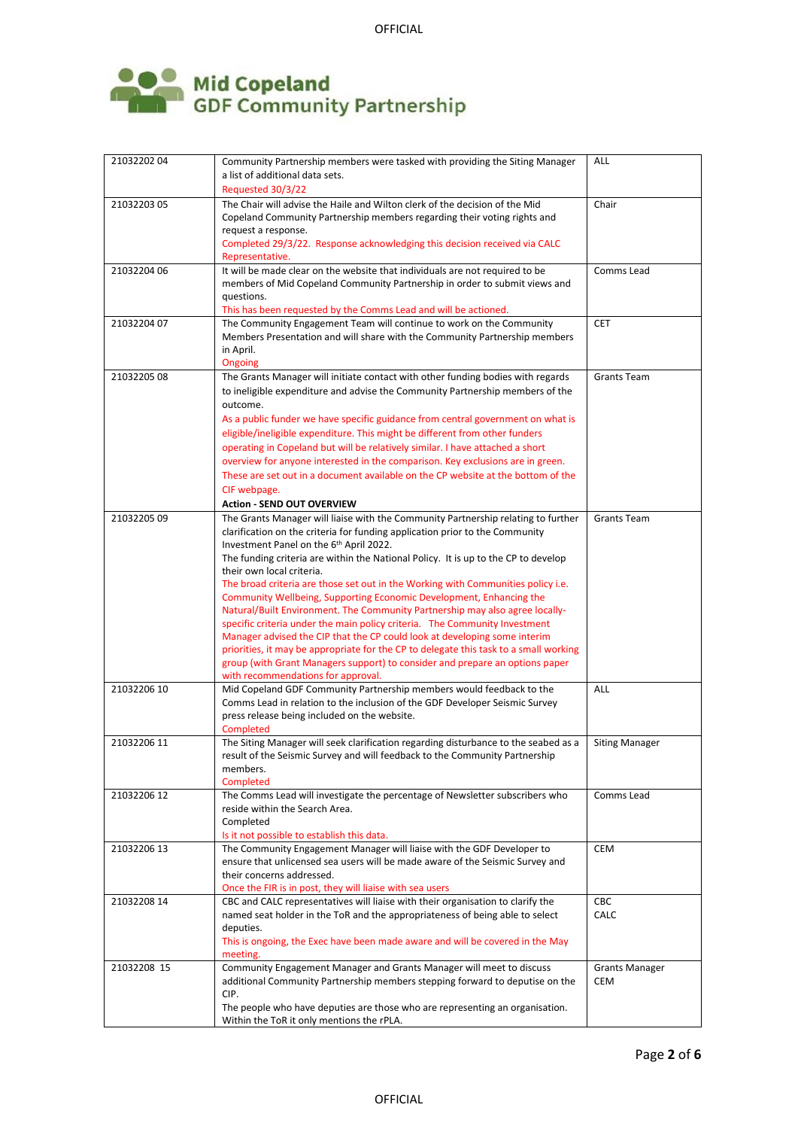

| 2103220204  | Community Partnership members were tasked with providing the Siting Manager                                          | ALL                   |
|-------------|----------------------------------------------------------------------------------------------------------------------|-----------------------|
|             | a list of additional data sets.                                                                                      |                       |
|             | Requested 30/3/22                                                                                                    |                       |
| 2103220305  | The Chair will advise the Haile and Wilton clerk of the decision of the Mid                                          | Chair                 |
|             | Copeland Community Partnership members regarding their voting rights and                                             |                       |
|             | request a response.                                                                                                  |                       |
|             | Completed 29/3/22. Response acknowledging this decision received via CALC                                            |                       |
|             | Representative.                                                                                                      |                       |
| 21032204 06 | It will be made clear on the website that individuals are not required to be                                         | Comms Lead            |
|             | members of Mid Copeland Community Partnership in order to submit views and                                           |                       |
|             | questions.                                                                                                           |                       |
|             | This has been requested by the Comms Lead and will be actioned.                                                      |                       |
| 21032204 07 | The Community Engagement Team will continue to work on the Community                                                 | <b>CET</b>            |
|             | Members Presentation and will share with the Community Partnership members                                           |                       |
|             | in April.                                                                                                            |                       |
| 2103220508  | Ongoing                                                                                                              | <b>Grants Team</b>    |
|             | The Grants Manager will initiate contact with other funding bodies with regards                                      |                       |
|             | to ineligible expenditure and advise the Community Partnership members of the                                        |                       |
|             | outcome.                                                                                                             |                       |
|             | As a public funder we have specific guidance from central government on what is                                      |                       |
|             | eligible/ineligible expenditure. This might be different from other funders                                          |                       |
|             | operating in Copeland but will be relatively similar. I have attached a short                                        |                       |
|             | overview for anyone interested in the comparison. Key exclusions are in green.                                       |                       |
|             | These are set out in a document available on the CP website at the bottom of the                                     |                       |
|             | CIF webpage.                                                                                                         |                       |
|             | <b>Action - SEND OUT OVERVIEW</b>                                                                                    |                       |
| 21032205 09 | The Grants Manager will liaise with the Community Partnership relating to further                                    | <b>Grants Team</b>    |
|             | clarification on the criteria for funding application prior to the Community                                         |                       |
|             | Investment Panel on the 6 <sup>th</sup> April 2022.                                                                  |                       |
|             | The funding criteria are within the National Policy. It is up to the CP to develop                                   |                       |
|             | their own local criteria.<br>The broad criteria are those set out in the Working with Communities policy i.e.        |                       |
|             | Community Wellbeing, Supporting Economic Development, Enhancing the                                                  |                       |
|             | Natural/Built Environment. The Community Partnership may also agree locally-                                         |                       |
|             | specific criteria under the main policy criteria. The Community Investment                                           |                       |
|             | Manager advised the CIP that the CP could look at developing some interim                                            |                       |
|             | priorities, it may be appropriate for the CP to delegate this task to a small working                                |                       |
|             | group (with Grant Managers support) to consider and prepare an options paper                                         |                       |
|             | with recommendations for approval.                                                                                   |                       |
| 21032206 10 | Mid Copeland GDF Community Partnership members would feedback to the                                                 | ALL                   |
|             | Comms Lead in relation to the inclusion of the GDF Developer Seismic Survey                                          |                       |
|             | press release being included on the website.                                                                         |                       |
|             | Completed                                                                                                            |                       |
| 21032206 11 | The Siting Manager will seek clarification regarding disturbance to the seabed as a                                  | <b>Siting Manager</b> |
|             | result of the Seismic Survey and will feedback to the Community Partnership                                          |                       |
|             | members.                                                                                                             |                       |
|             | Completed                                                                                                            |                       |
| 21032206 12 | The Comms Lead will investigate the percentage of Newsletter subscribers who                                         | Comms Lead            |
|             | reside within the Search Area.                                                                                       |                       |
|             | Completed                                                                                                            |                       |
|             | Is it not possible to establish this data.<br>The Community Engagement Manager will liaise with the GDF Developer to | <b>CEM</b>            |
| 21032206 13 | ensure that unlicensed sea users will be made aware of the Seismic Survey and                                        |                       |
|             | their concerns addressed.                                                                                            |                       |
|             | Once the FIR is in post, they will liaise with sea users                                                             |                       |
| 21032208 14 | CBC and CALC representatives will liaise with their organisation to clarify the                                      | <b>CBC</b>            |
|             | named seat holder in the ToR and the appropriateness of being able to select                                         | <b>CALC</b>           |
|             | deputies.                                                                                                            |                       |
|             | This is ongoing, the Exec have been made aware and will be covered in the May                                        |                       |
|             | meeting.                                                                                                             |                       |
| 21032208 15 | Community Engagement Manager and Grants Manager will meet to discuss                                                 | <b>Grants Manager</b> |
|             | additional Community Partnership members stepping forward to deputise on the                                         | CEM                   |
|             | CIP.                                                                                                                 |                       |
|             | The people who have deputies are those who are representing an organisation.                                         |                       |
|             | Within the ToR it only mentions the rPLA.                                                                            |                       |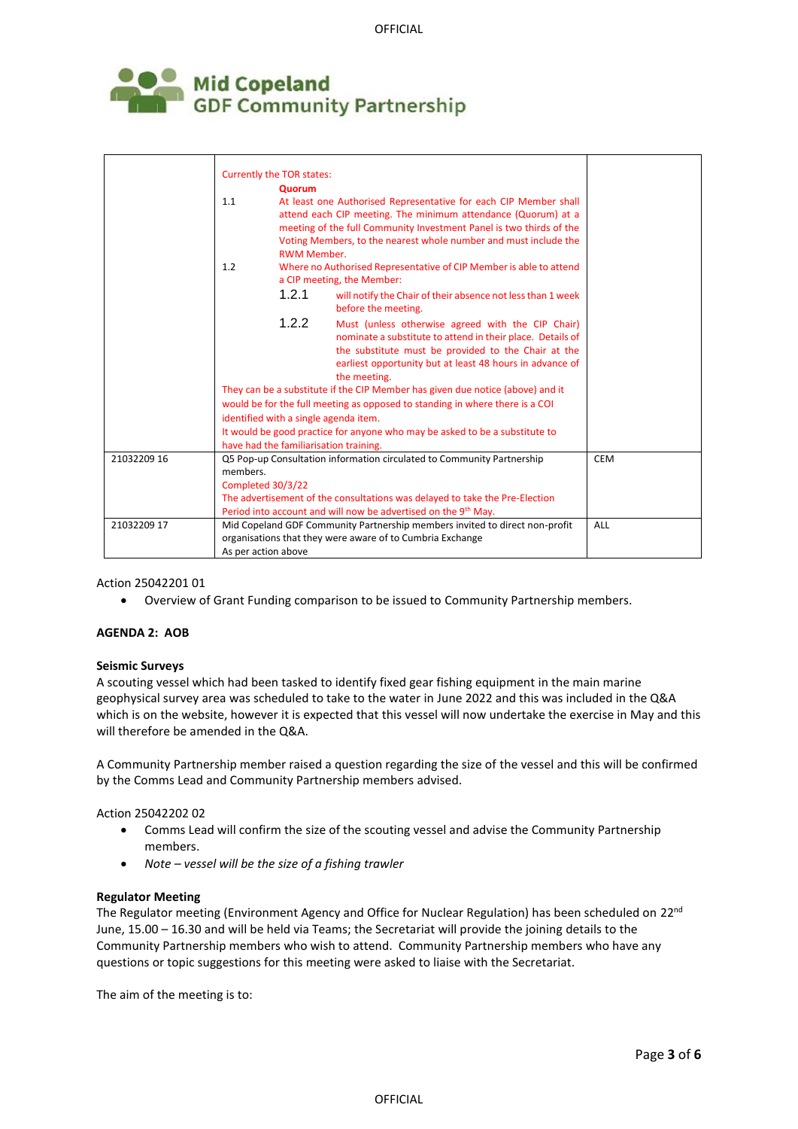OFFICIAL



|             | Currently the TOR states:                                                      |                                                                                                                                                                                                                                                    |            |  |  |
|-------------|--------------------------------------------------------------------------------|----------------------------------------------------------------------------------------------------------------------------------------------------------------------------------------------------------------------------------------------------|------------|--|--|
|             | Quorum                                                                         |                                                                                                                                                                                                                                                    |            |  |  |
|             | 1.1                                                                            | At least one Authorised Representative for each CIP Member shall                                                                                                                                                                                   |            |  |  |
|             |                                                                                | attend each CIP meeting. The minimum attendance (Quorum) at a                                                                                                                                                                                      |            |  |  |
|             |                                                                                | meeting of the full Community Investment Panel is two thirds of the                                                                                                                                                                                |            |  |  |
|             | <b>RWM Member.</b>                                                             | Voting Members, to the nearest whole number and must include the                                                                                                                                                                                   |            |  |  |
|             | 1.2                                                                            | Where no Authorised Representative of CIP Member is able to attend<br>a CIP meeting, the Member:                                                                                                                                                   |            |  |  |
|             | 1.2.1                                                                          | will notify the Chair of their absence not less than 1 week<br>before the meeting.                                                                                                                                                                 |            |  |  |
|             | 1.2.2                                                                          | Must (unless otherwise agreed with the CIP Chair)<br>nominate a substitute to attend in their place. Details of<br>the substitute must be provided to the Chair at the<br>earliest opportunity but at least 48 hours in advance of<br>the meeting. |            |  |  |
|             | They can be a substitute if the CIP Member has given due notice (above) and it |                                                                                                                                                                                                                                                    |            |  |  |
|             | would be for the full meeting as opposed to standing in where there is a COI   |                                                                                                                                                                                                                                                    |            |  |  |
|             | identified with a single agenda item.                                          |                                                                                                                                                                                                                                                    |            |  |  |
|             | It would be good practice for anyone who may be asked to be a substitute to    |                                                                                                                                                                                                                                                    |            |  |  |
|             | have had the familiarisation training.                                         |                                                                                                                                                                                                                                                    |            |  |  |
| 21032209 16 |                                                                                | Q5 Pop-up Consultation information circulated to Community Partnership                                                                                                                                                                             | <b>CEM</b> |  |  |
|             | members.                                                                       |                                                                                                                                                                                                                                                    |            |  |  |
|             | Completed 30/3/22                                                              |                                                                                                                                                                                                                                                    |            |  |  |
|             | The advertisement of the consultations was delayed to take the Pre-Election    |                                                                                                                                                                                                                                                    |            |  |  |
|             | Period into account and will now be advertised on the 9th May.                 |                                                                                                                                                                                                                                                    |            |  |  |
| 21032209 17 |                                                                                | Mid Copeland GDF Community Partnership members invited to direct non-profit                                                                                                                                                                        | <b>ALL</b> |  |  |
|             | organisations that they were aware of to Cumbria Exchange                      |                                                                                                                                                                                                                                                    |            |  |  |
|             | As per action above                                                            |                                                                                                                                                                                                                                                    |            |  |  |

Action 25042201 01

• Overview of Grant Funding comparison to be issued to Community Partnership members.

## **AGENDA 2: AOB**

#### **Seismic Surveys**

A scouting vessel which had been tasked to identify fixed gear fishing equipment in the main marine geophysical survey area was scheduled to take to the water in June 2022 and this was included in the Q&A which is on the website, however it is expected that this vessel will now undertake the exercise in May and this will therefore be amended in the Q&A.

A Community Partnership member raised a question regarding the size of the vessel and this will be confirmed by the Comms Lead and Community Partnership members advised.

Action 25042202 02

- Comms Lead will confirm the size of the scouting vessel and advise the Community Partnership members.
- *Note – vessel will be the size of a fishing trawler*

#### **Regulator Meeting**

The Regulator meeting (Environment Agency and Office for Nuclear Regulation) has been scheduled on 22<sup>nd</sup> June, 15.00 – 16.30 and will be held via Teams; the Secretariat will provide the joining details to the Community Partnership members who wish to attend. Community Partnership members who have any questions or topic suggestions for this meeting were asked to liaise with the Secretariat.

The aim of the meeting is to: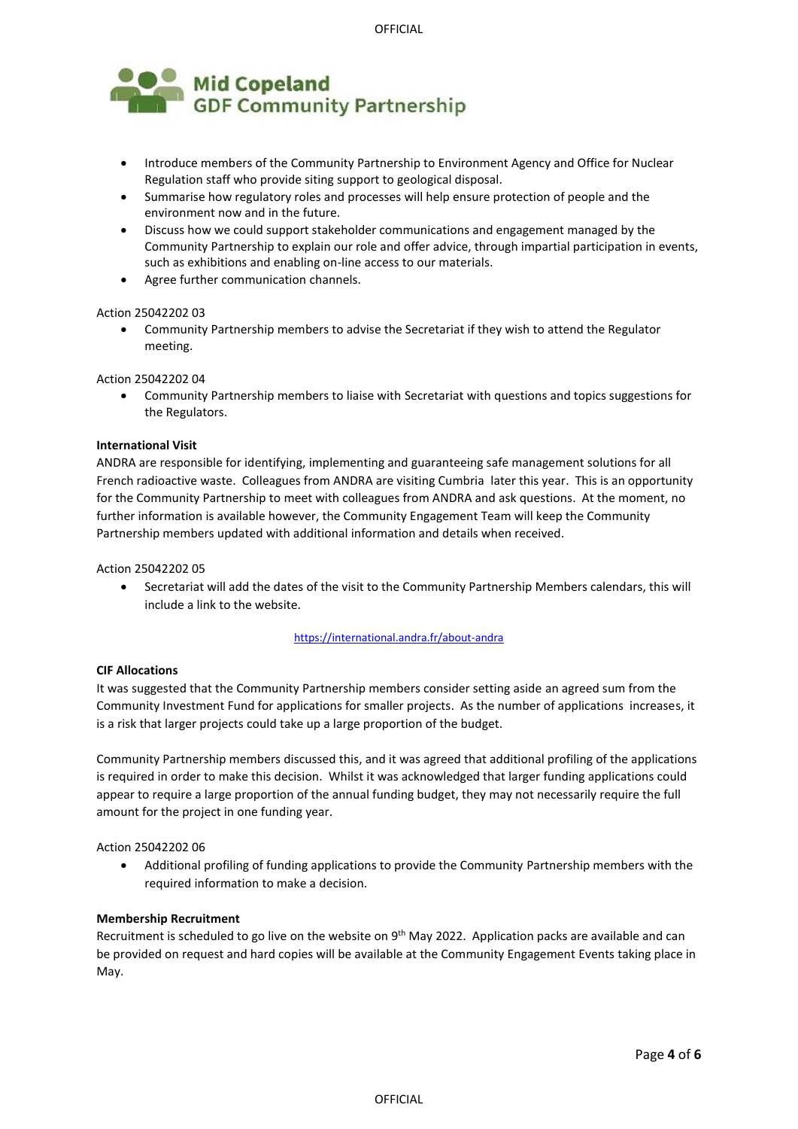

- Introduce members of the Community Partnership to Environment Agency and Office for Nuclear Regulation staff who provide siting support to geological disposal.
- Summarise how regulatory roles and processes will help ensure protection of people and the environment now and in the future.
- Discuss how we could support stakeholder communications and engagement managed by the Community Partnership to explain our role and offer advice, through impartial participation in events, such as exhibitions and enabling on-line access to our materials.
- Agree further communication channels.

## Action 25042202 03

• Community Partnership members to advise the Secretariat if they wish to attend the Regulator meeting.

## Action 25042202 04

• Community Partnership members to liaise with Secretariat with questions and topics suggestions for the Regulators.

## **International Visit**

ANDRA are responsible for identifying, implementing and guaranteeing safe management solutions for all French radioactive waste. Colleagues from ANDRA are visiting Cumbria later this year. This is an opportunity for the Community Partnership to meet with colleagues from ANDRA and ask questions. At the moment, no further information is available however, the Community Engagement Team will keep the Community Partnership members updated with additional information and details when received.

#### Action 25042202 05

• Secretariat will add the dates of the visit to the Community Partnership Members calendars, this will include a link to the website.

#### <https://international.andra.fr/about-andra>

## **CIF Allocations**

It was suggested that the Community Partnership members consider setting aside an agreed sum from the Community Investment Fund for applications for smaller projects. As the number of applications increases, it is a risk that larger projects could take up a large proportion of the budget.

Community Partnership members discussed this, and it was agreed that additional profiling of the applications is required in order to make this decision. Whilst it was acknowledged that larger funding applications could appear to require a large proportion of the annual funding budget, they may not necessarily require the full amount for the project in one funding year.

#### Action 25042202 06

• Additional profiling of funding applications to provide the Community Partnership members with the required information to make a decision.

#### **Membership Recruitment**

Recruitment is scheduled to go live on the website on 9<sup>th</sup> May 2022. Application packs are available and can be provided on request and hard copies will be available at the Community Engagement Events taking place in May.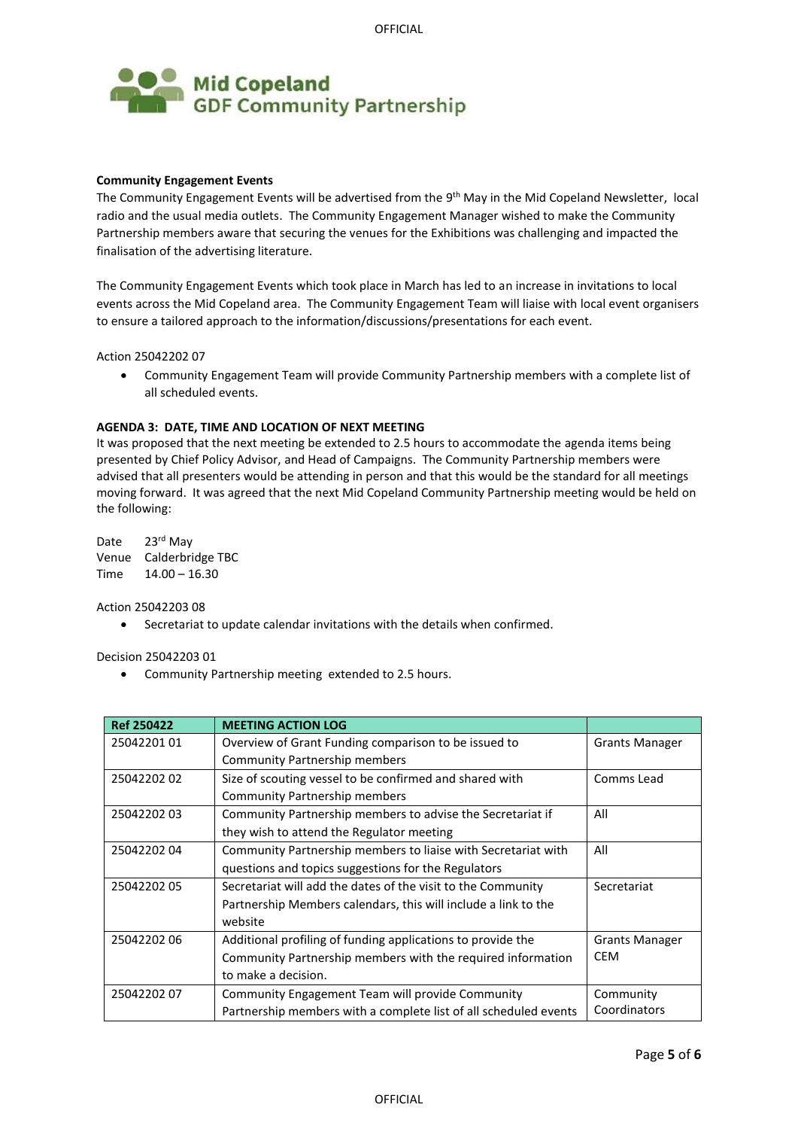

#### **Community Engagement Events**

The Community Engagement Events will be advertised from the 9<sup>th</sup> May in the Mid Copeland Newsletter, local radio and the usual media outlets. The Community Engagement Manager wished to make the Community Partnership members aware that securing the venues for the Exhibitions was challenging and impacted the finalisation of the advertising literature.

The Community Engagement Events which took place in March has led to an increase in invitations to local events across the Mid Copeland area. The Community Engagement Team will liaise with local event organisers to ensure a tailored approach to the information/discussions/presentations for each event.

#### Action 25042202 07

• Community Engagement Team will provide Community Partnership members with a complete list of all scheduled events.

#### **AGENDA 3: DATE, TIME AND LOCATION OF NEXT MEETING**

It was proposed that the next meeting be extended to 2.5 hours to accommodate the agenda items being presented by Chief Policy Advisor, and Head of Campaigns. The Community Partnership members were advised that all presenters would be attending in person and that this would be the standard for all meetings moving forward. It was agreed that the next Mid Copeland Community Partnership meeting would be held on the following:

Date 23rd May Venue Calderbridge TBC Time 14.00 – 16.30

Action 25042203 08

• Secretariat to update calendar invitations with the details when confirmed.

Decision 25042203 01

• Community Partnership meeting extended to 2.5 hours.

| <b>Ref 250422</b> | <b>MEETING ACTION LOG</b>                                        |                       |
|-------------------|------------------------------------------------------------------|-----------------------|
| 25042201 01       | Overview of Grant Funding comparison to be issued to             | <b>Grants Manager</b> |
|                   | <b>Community Partnership members</b>                             |                       |
| 2504220202        | Size of scouting vessel to be confirmed and shared with          | Comms Lead            |
|                   | <b>Community Partnership members</b>                             |                       |
| 2504220203        | Community Partnership members to advise the Secretariat if       | All                   |
|                   | they wish to attend the Regulator meeting                        |                       |
| 2504220204        | Community Partnership members to liaise with Secretariat with    | All                   |
|                   | questions and topics suggestions for the Regulators              |                       |
| 2504220205        | Secretariat will add the dates of the visit to the Community     | Secretariat           |
|                   | Partnership Members calendars, this will include a link to the   |                       |
|                   | website                                                          |                       |
| 2504220206        | Additional profiling of funding applications to provide the      | <b>Grants Manager</b> |
|                   | Community Partnership members with the required information      | <b>CEM</b>            |
|                   | to make a decision.                                              |                       |
| 2504220207        | Community Engagement Team will provide Community                 | Community             |
|                   | Partnership members with a complete list of all scheduled events | Coordinators          |